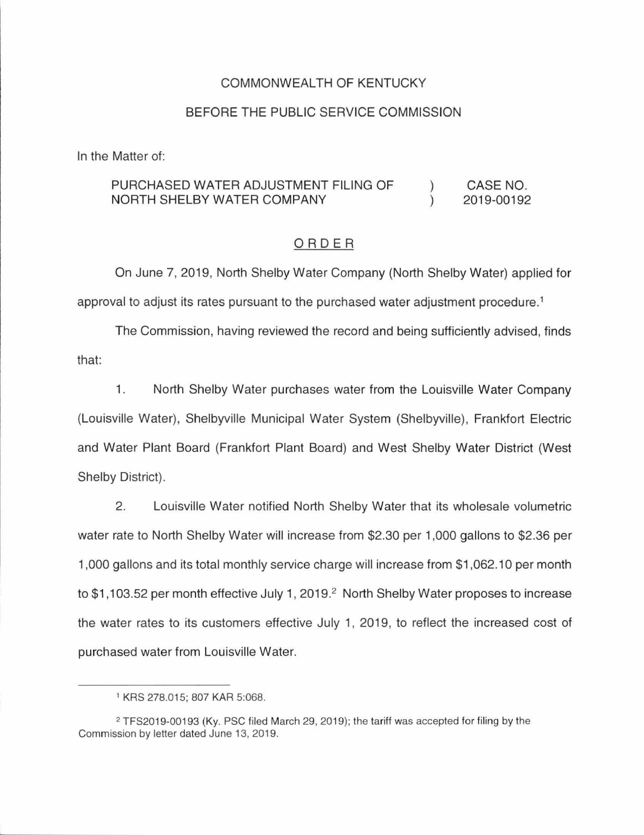# COMMONWEALTH OF KENTUCKY

## BEFORE THE PUBLIC SERVICE COMMISSION

In the Matter of:

#### PURCHASED WATER ADJUSTMENT FILING OF NORTH SHELBY WATER COMPANY )  $\left( \right)$ CASE NO. 2019-00192

## ORDER

On June 7, 2019, North Shelby Water Company (North Shelby Water) applied for approval to adjust its rates pursuant to the purchased water adjustment procedure.<sup>1</sup>

The Commission, having reviewed the record and being sufficiently advised, finds that:

1. North Shelby Water purchases water from the Louisville Water Company (Louisville Water), Shelbyville Municipal Water System (Shelbyville), Frankfort Electric and Water Plant Board (Frankfort Plant Board) and West Shelby Water District (West Shelby District).

2. Louisville Water notified North Shelby Water that its wholesale volumetric water rate to North Shelby Water will increase from \$2.30 per 1,000 gallons to \$2.36 per 1,000 gallons and its total monthly service charge will increase from \$1 ,062.10 per month to \$1,103.52 per month effective July 1, 2019.<sup>2</sup> North Shelby Water proposes to increase the water rates to its customers effective July 1, 2019, to reflect the increased cost of purchased water from Louisville Water.

<sup>1</sup>KRS 278.015; 807 KAR 5:068.

<sup>&</sup>lt;sup>2</sup> TFS2019-00193 (Ky. PSC filed March 29, 2019); the tariff was accepted for filing by the Commission by letter dated June 13, 2019.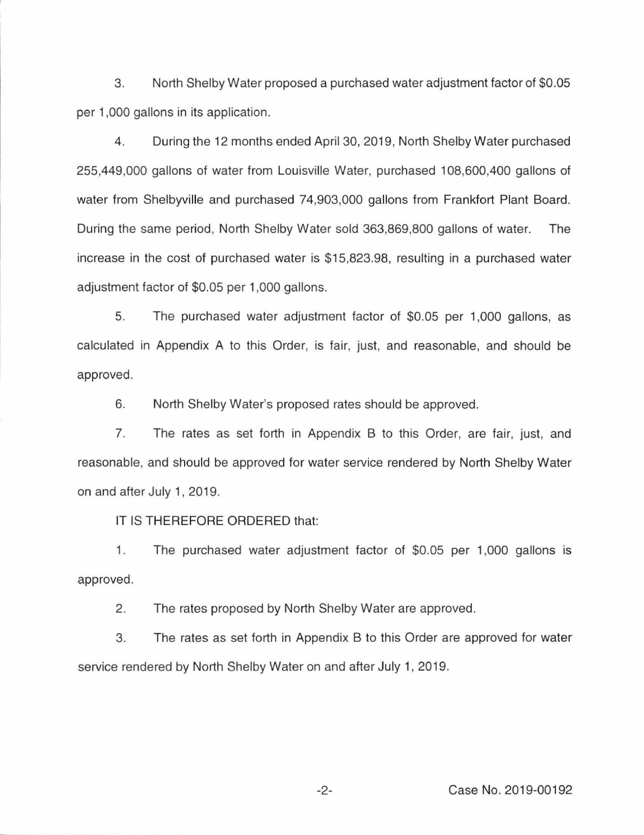3. North Shelby Water proposed a purchased water adjustment factor of \$0.05 per 1,000 gallons in its application.

4. During the 12 months ended April 30, 2019, North Shelby Water purchased 255,449,000 gallons of water from Louisville Water, purchased 108,600,400 gallons of water from Shelbyville and purchased 74,903,000 gallons from Frankfort Plant Board. During the same period, North Shelby Water sold 363,869,800 gallons of water. The increase in the cost of purchased water is \$15,823.98, resulting in a purchased water adjustment factor of \$0.05 per 1,000 gallons.

5. The purchased water adjustment factor of \$0.05 per 1,000 gallons, as calculated in Appendix A to this Order, is fair, just, and reasonable, and should be approved.

6. North Shelby Water's proposed rates should be approved.

7. The rates as set forth in Appendix B to this Order, are fair, just, and reasonable, and should be approved for water service rendered by North Shelby Water on and after July 1, 2019.

IT IS THEREFORE ORDERED that:

1. The purchased water adjustment factor of \$0.05 per 1,000 gallons is approved.

2. The rates proposed by North Shelby Water are approved.

3. The rates as set forth in Appendix B to this Order are approved for water service rendered by North Shelby Water on and after July 1, 2019.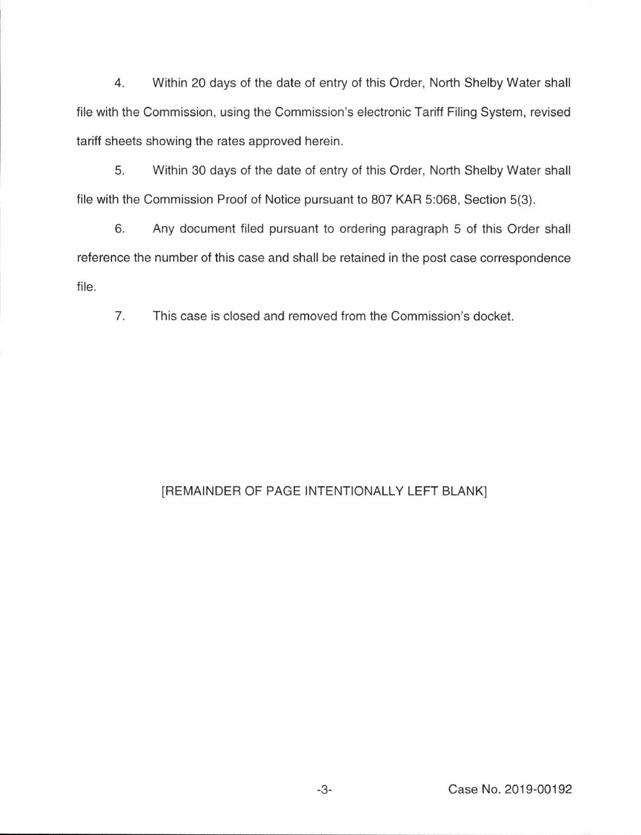4. Within 20 days of the date of entry of this Order, North Shelby Water shall file with the Commission, using the Commission's electronic Tariff Filing System, revised tariff sheets showing the rates approved herein.

5. Within 30 days of the date of entry of this Order, North Shelby Water shall file with the Commission Proof of Notice pursuant to 807 KAR 5:068, Section 5(3).

6. Any document filed pursuant to ordering paragraph 5 of this Order shall reference the number of this case and shall be retained in the post case correspondence file.

7. This case is closed and removed from the Commission's docket.

# [REMAINDER OF PAGE INTENTIONALLY LEFT BLANK]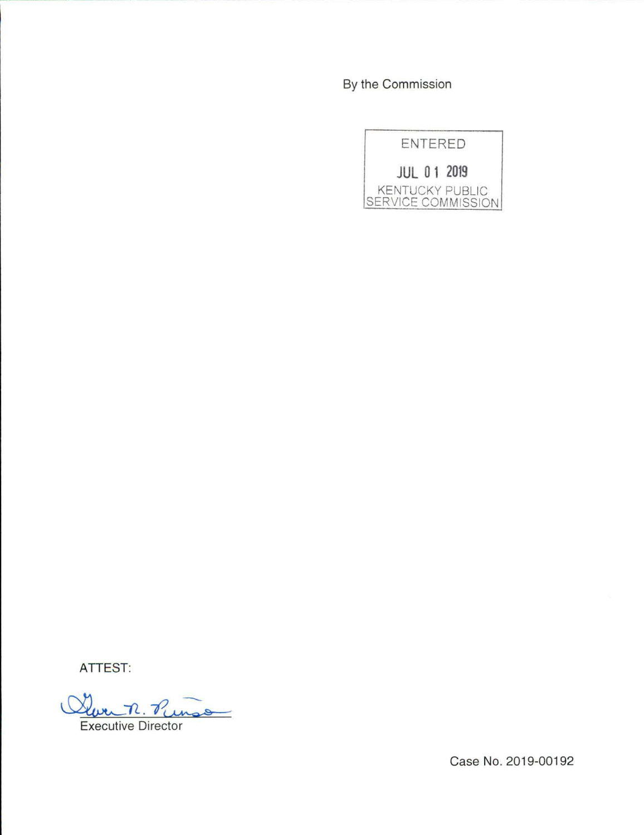By the Commission



ATTEST:

<u>Your n. Runso</u>

Case No. 2019-00192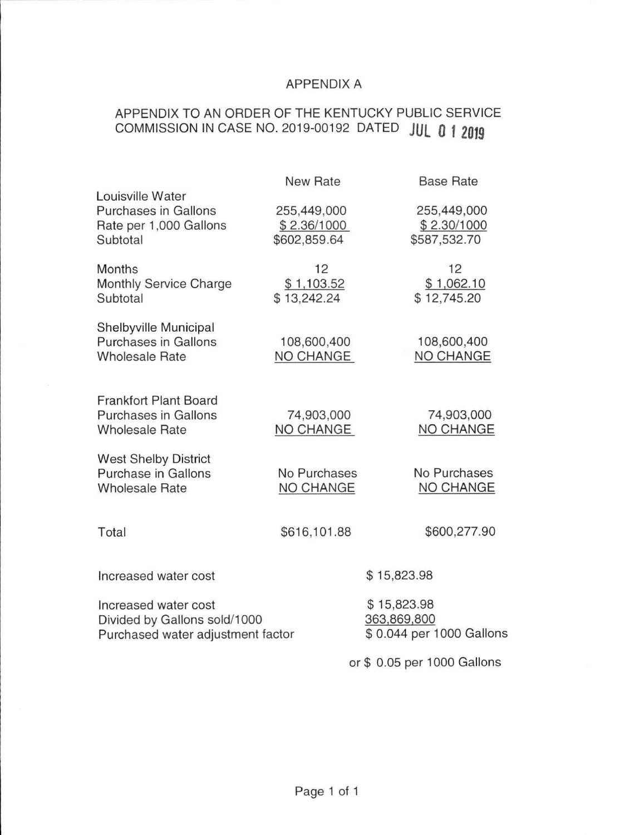# APPENDIX A

# APPENDIX TO AN ORDER OF THE KENTUCKY PUBLIC SERVICE COMMISSION IN CASE NO. 2019-00192 DATED **JUL 0** *1* **2019**

|                                                                                           | <b>New Rate</b>                            | <b>Base Rate</b>                                       |
|-------------------------------------------------------------------------------------------|--------------------------------------------|--------------------------------------------------------|
| Louisville Water<br><b>Purchases in Gallons</b><br>Rate per 1,000 Gallons<br>Subtotal     | 255,449,000<br>\$2.36/1000<br>\$602,859.64 | 255,449,000<br>\$2.30/1000<br>\$587,532.70             |
| <b>Months</b><br>Monthly Service Charge<br>Subtotal                                       | 12<br>\$1,103.52<br>\$13,242.24            | 12<br>\$1,062.10<br>\$12,745.20                        |
| Shelbyville Municipal<br><b>Purchases in Gallons</b><br><b>Wholesale Rate</b>             | 108,600,400<br>NO CHANGE                   | 108,600,400<br>NO CHANGE                               |
| <b>Frankfort Plant Board</b><br><b>Purchases in Gallons</b><br><b>Wholesale Rate</b>      | 74,903,000<br>NO CHANGE                    | 74,903,000<br>NO CHANGE                                |
| <b>West Shelby District</b><br><b>Purchase in Gallons</b><br><b>Wholesale Rate</b>        | No Purchases<br>NO CHANGE                  | No Purchases<br>NO CHANGE                              |
| Total                                                                                     | \$616,101.88                               | \$600,277.90                                           |
| Increased water cost                                                                      |                                            | \$15,823.98                                            |
| Increased water cost<br>Divided by Gallons sold/1000<br>Purchased water adjustment factor |                                            | \$15,823.98<br>363,869,800<br>\$0.044 per 1000 Gallons |
|                                                                                           |                                            | or \$ 0.05 per 1000 Gallons                            |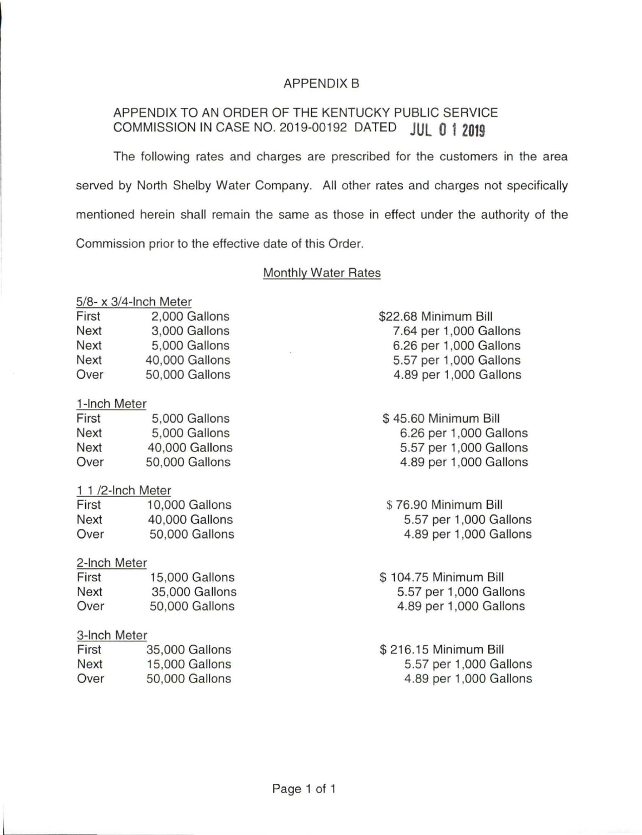# APPENDIX B

# APPENDIX TO AN ORDER OF THE KENTUCKY PUBLIC SERVICE COMMISSION IN CASE NO. 2019-00192 DATED **JUL 0 1 2019**

The following rates and charges are prescribed for the customers in the area served by North Shelby Water Company. All other rates and charges not specifically mentioned herein shall remain the same as those in effect under the authority of the Commission prior to the effective date of this Order.

## Monthly Water Rates

# 5/8- x 3/4-lnch Meter

| First | 2,000 Gallons  |
|-------|----------------|
| Next  | 3,000 Gallons  |
| Next  | 5,000 Gallons  |
| Next  | 40,000 Gallons |
| Over  | 50,000 Gallons |

### 1-lnch Meter

| First | 5,000 Gallons  |
|-------|----------------|
| Next  | 5,000 Gallons  |
| Next  | 40,000 Gallons |
| Over  | 50,000 Gallons |

### 1 1 /2-lnch Meter

| First | 10,000 Gallons |
|-------|----------------|
| Next  | 40,000 Gallons |
| Over  | 50,000 Gallons |

### 2-lnch Meter

| First | <b>15,000 Gallons</b> |
|-------|-----------------------|
| Next  | 35,000 Gallons        |
| Over  | 50,000 Gallons        |

# 3-lnch Meter

| First | 35,000 Gallons |
|-------|----------------|
| Next  | 15,000 Gallons |
| Over  | 50,000 Gallons |

\$22.68 Minimum Bill 7.64 per 1,000 Gallons 6.26 per 1,000 Gallons 5.57 per 1,000 Gallons 4.89 per 1,000 Gallons

\$ 45.60 Minimum Bill 6.26 per 1,000 Gallons 5.57 per 1,000 Gallons 4.89 per 1,000 Gallons

\$ 76.90 Minimum Bill 5.57 per 1,000 Gallons 4.89 per 1,000 Gallons

\$ 104. 75 Minimum Bill 5.57 per 1 ,000 Gallons 4.89 per 1,000 Gallons

\$ 216.15 Minimum Bill 5.57 per 1,000 Gallons 4.89 per 1,000 Gallons